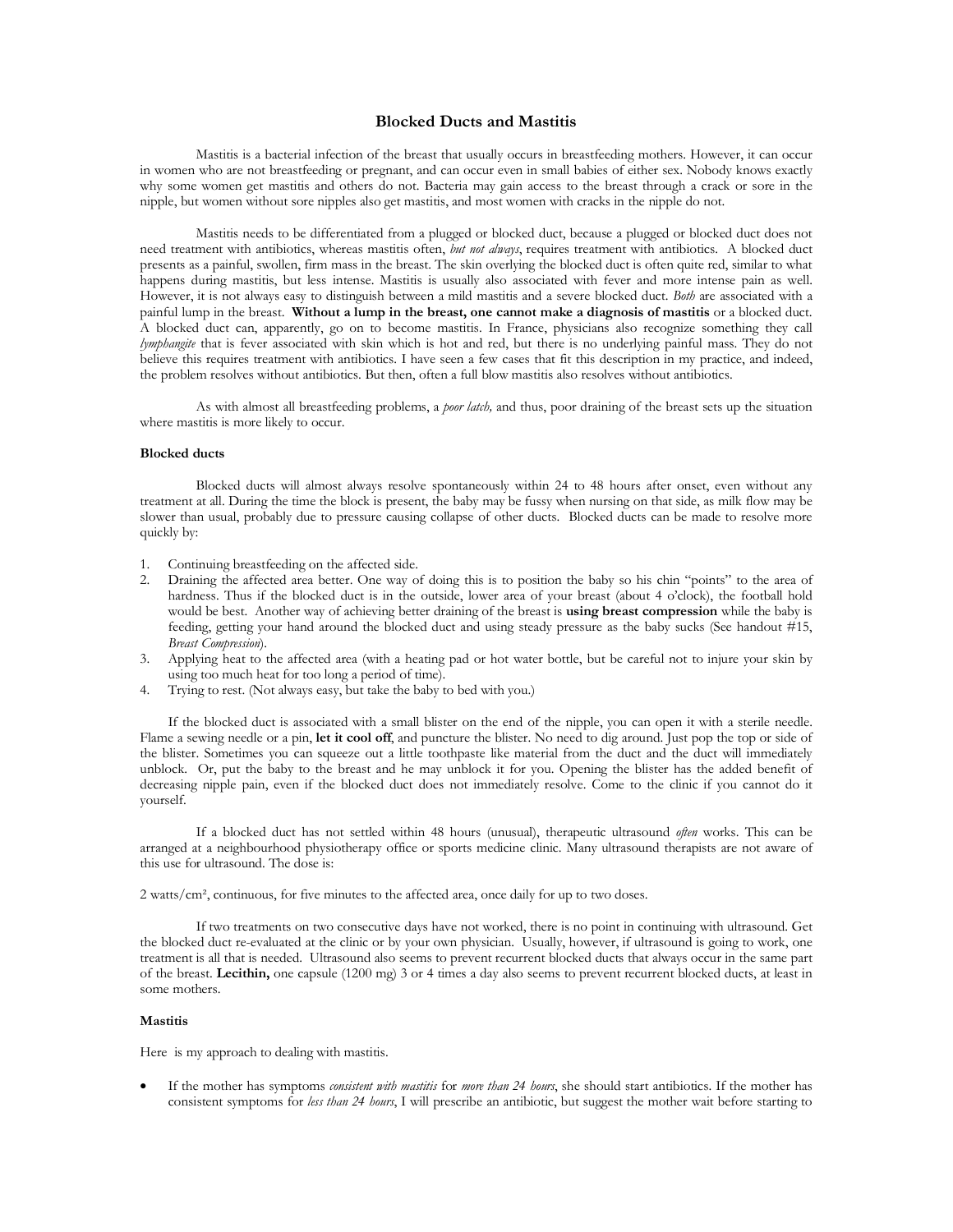## **Blocked Ducts and Mastitis**

Mastitis is a bacterial infection of the breast that usually occurs in breastfeeding mothers. However, it can occur<br>in women who are not breastfeeding or pregnant, and can occur even in small babies of either sex. Nobody k why some women get mastitis and others do not. Bacteria may gain access to the breast through a crack or sore in the nipple, but women without sore nipples also get mastitis, and most women with cracks in the nipple do not

Mastitis needs to be differentiated from a plugged or blocked duct, because a plugged or blocked duct does not<br>need treatment with antibiotics, whereas mastitis often, *but not always*, requires treatment with antibiotics. presents as a painful, swollen, firm mass in the breast. The skin overlying the blocked duct is often quite red, similar to what happens during mastitis, but less intense. Mastitis is usually also associated with fever and more intense pain as well. However, it is not always easy to distinguish between a mild mastitis and a severe blocked duct. *Both* are associated with a painful lump in the breast. **Without a lump in the breast, one cannot make a diagnosis of mastitis** or a blocked duct. A blocked duct can, apparently, go on to become mastitis. In France, physicians also recognize something they call *lymphangite* that is fever associated with skin which is hot and red, but there is no underlying painful mass. They do not believe this requires treatment with antibiotics. I have seen a few cases that fit this description in my practice, and indeed, the problem resolves without antibiotics. But then, often a full blow mastitis also resolves without antibiotics.

As with almost all breastfeeding problems, a *poor latch,* and thus, poor draining of the breast sets up the situation where mastitis is more likely to occur.

## **Blocked ducts**

Blocked ducts will almost always resolve spontaneously within 24 to 48 hours after onset, even without any treatment at all. During the time the block is present, the baby may be fussy when nursing on that side, as milk fl slower than usual, probably due to pressure causing collapse of other ducts. Blocked ducts can be made to resolve more quickly by:

- 1. Continuing breastfeeding on the affected side.
- 2. Draining the affected area better. One way of doing this is to position the baby so his chin "points" to the area of hardness. Thus if the blocked duct is in the outside, lower area of your breast (about 4 o'clock), the would be best. Another way of achieving better draining of the breast is using breast compression while the baby is feeding, getting your hand around the blocked duct and using steady pressure as the baby sucks (See handout #15, *Breast Compression*).
- 3. Applying heat to the affected area (with a heating pad or hot water bottle, but be careful not to injure your skin by using too much heat for too long a period of time).<br>4. Trying to rest. (Not always easy, but take the
- Trying to rest. (Not always easy, but take the baby to bed with you.)

If the blocked duct is associated with a small blister on the end of the nipple, you can open it with a sterile needle. Flame a sewing needle or a pin, **let it cool off**, and puncture the blister. No need to dig around. Just pop the top or side of the blister. Sometimes you can squeeze out a little toothpaste like material from the duct and unblock. Or, put the baby to the breast and he may unblock it for you. Opening the blister has the added benefit of decreasing nipple pain, even if the blocked duct does not immediately resolve. Come to the clinic if you cannot do it yourself.

If a blocked duct has not settled within 48 hours (unusual), therapeutic ultrasound *often* works. This can be arranged at a neighbourhood physiotherapy office or sports medicine clinic. Many ultrasound therapists are not this use for ultrasound. The dose is:

2 watts/cm², continuous, for five minutes to the affected area, once daily for up to two doses.

If two treatments on two consecutive days have not worked, there is no point in continuing with ultrasound. Get the blocked duct re-evaluated at the clinic or by your own physician. Usually, however, if ultrasound is going to work, one treatment is all that is needed. Ultrasound also seems to prevent recurrent blocked ducts that alw of the breast. Lecithin, one capsule (1200 mg) 3 or 4 times a day also seems to prevent recurrent blocked ducts, at least in some mothers.

## **Mastitis**

Here is my approach to dealing with mastitis.

If the mother has symptoms *consistent with mastitis* for *more than* 24 *bours*, she should start antibiotics. If the mother has consistent symptoms for less than 24 *bours*, I will prescribe an antibiotic, but suggest th